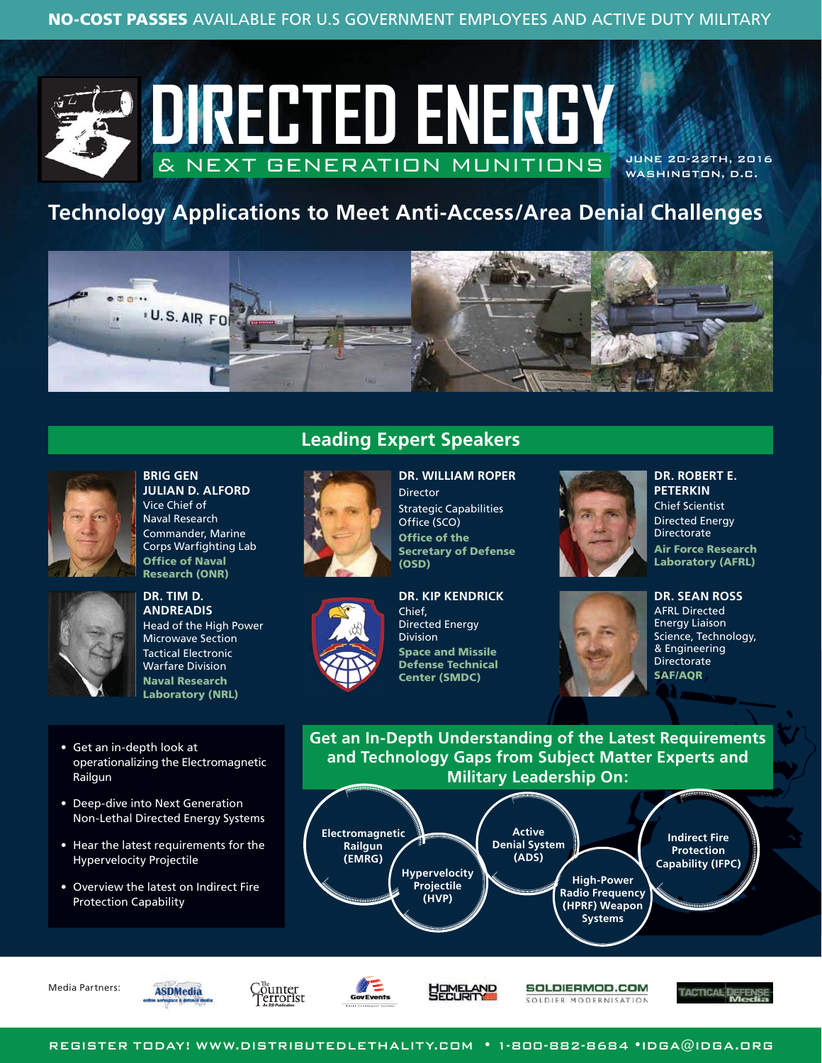

JUNE 20-22TH, 2016 WASHINGTON, D.C.

# **Technology Applications to Meet Anti-Access/Area Denial Challenges**





**BRIG GEN JULIAN D. ALFORD** Vice Chief of Naval Research Commander, Marine Corps Warfighting Lab **Office of Naval Research (ONR)**



**DR. TIM D. ANDREADIS** Head of the High Power Microwave Section Tactical Electronic Warfare Division **Naval Research** 

**Laboratory (NRL)**

- Get an in-depth look at operationalizing the Electromagnetic Railgun
- Deep-dive into Next Generation Non-Lethal Directed Energy Systems
- Hear the latest requirements for the Hypervelocity Projectile
- Overview the latest on Indirect Fire Protection Capability





**DR. WILLIAM ROPER** Director Strategic Capabilities Office (SCO) **Office of the Secretary of Defense (OSD)**



**DR. KIP KENDRICK** Chief, Directed Energy Division **Space and Missile Defense Technical Center (SMDC)**



**DR. ROBERT E. PETERKIN** Chief Scientist Directed Energy **Directorate Air Force Research Laboratory (AFRL)**



**DR. SEAN ROSS** AFRL Directed Energy Liaison Science, Technology, & Engineering **Directorate SAF/AQR**

**Get an In-Depth Understanding of the Latest Requirements and Technology Gaps from Subject Matter Experts and Military Leadership On:**



Media Partners:







불법하다 **AND** 

SOLDIERMOD.COM SOLDIER MODERNISATION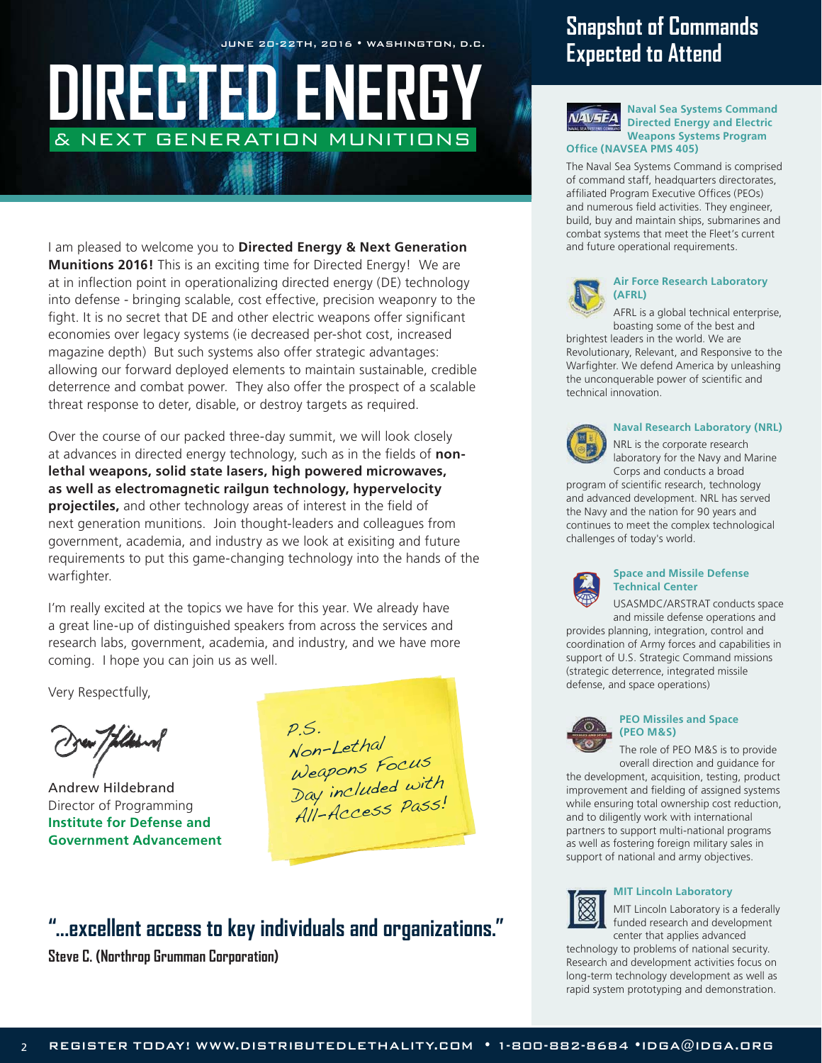JUNE 20-22TH, 2016 • WASHINGTON, D.C.

# **DIRECTED ENE** & NEXT GENERATION MUNITIONS

I am pleased to welcome you to **Directed Energy & Next Generation Munitions 2016!** This is an exciting time for Directed Energy! We are at in inflection point in operationalizing directed energy (DE) technology into defense - bringing scalable, cost effective, precision weaponry to the fight. It is no secret that DE and other electric weapons offer significant economies over legacy systems (ie decreased per-shot cost, increased magazine depth) But such systems also offer strategic advantages: allowing our forward deployed elements to maintain sustainable, credible deterrence and combat power. They also offer the prospect of a scalable threat response to deter, disable, or destroy targets as required.

Over the course of our packed three-day summit, we will look closely at advances in directed energy technology, such as in the fields of **nonlethal weapons, solid state lasers, high powered microwaves, as well as electromagnetic railgun technology, hypervelocity projectiles,** and other technology areas of interest in the field of next generation munitions. Join thought-leaders and colleagues from government, academia, and industry as we look at exisiting and future requirements to put this game-changing technology into the hands of the warfighter.

I'm really excited at the topics we have for this year. We already have a great line-up of distinguished speakers from across the services and research labs, government, academia, and industry, and we have more coming. I hope you can join us as well.

Very Respectfully,

Andrew Hildebrand Director of Programming **Institute for Defense and Government Advancement**

P.S. Non-Lethal Weapons Focus Day included with All-Access Pass!

## **"...excellent access to key individuals and organizations."**

**Steve C. (Northrop Grumman Corporation)**

# **Snapshot of Commands Expected to Attend**



**Naval Sea Systems Command Directed Energy and Electric Weapons Systems Program Office (NAVSEA PMS 405)**

#### The Naval Sea Systems Command is comprised of command staff, headquarters directorates, affiliated Program Executive Offices (PEOs) and numerous field activities. They engineer, build, buy and maintain ships, submarines and combat systems that meet the Fleet's current and future operational requirements.



#### **Air Force Research Laboratory (AFRL)**

AFRL is a global technical enterprise, boasting some of the best and

brightest leaders in the world. We are Revolutionary, Relevant, and Responsive to the Warfighter. We defend America by unleashing the unconquerable power of scientific and technical innovation.



#### **Naval Research Laboratory (NRL)**

NRL is the corporate research laboratory for the Navy and Marine Corps and conducts a broad

program of scientific research, technology and advanced development. NRL has served the Navy and the nation for 90 years and continues to meet the complex technological challenges of today's world.



#### **Space and Missile Defense Technical Center**

USASMDC/ARSTRAT conducts space and missile defense operations and

provides planning, integration, control and coordination of Army forces and capabilities in support of U.S. Strategic Command missions (strategic deterrence, integrated missile defense, and space operations)



#### **PEO Missiles and Space (PEO M&S)**

The role of PEO M&S is to provide overall direction and guidance for

the development, acquisition, testing, product improvement and fielding of assigned systems while ensuring total ownership cost reduction, and to diligently work with international partners to support multi-national programs as well as fostering foreign military sales in support of national and army objectives.



#### **MIT Lincoln Laboratory**

MIT Lincoln Laboratory is a federally funded research and development center that applies advanced

technology to problems of national security. Research and development activities focus on long-term technology development as well as rapid system prototyping and demonstration.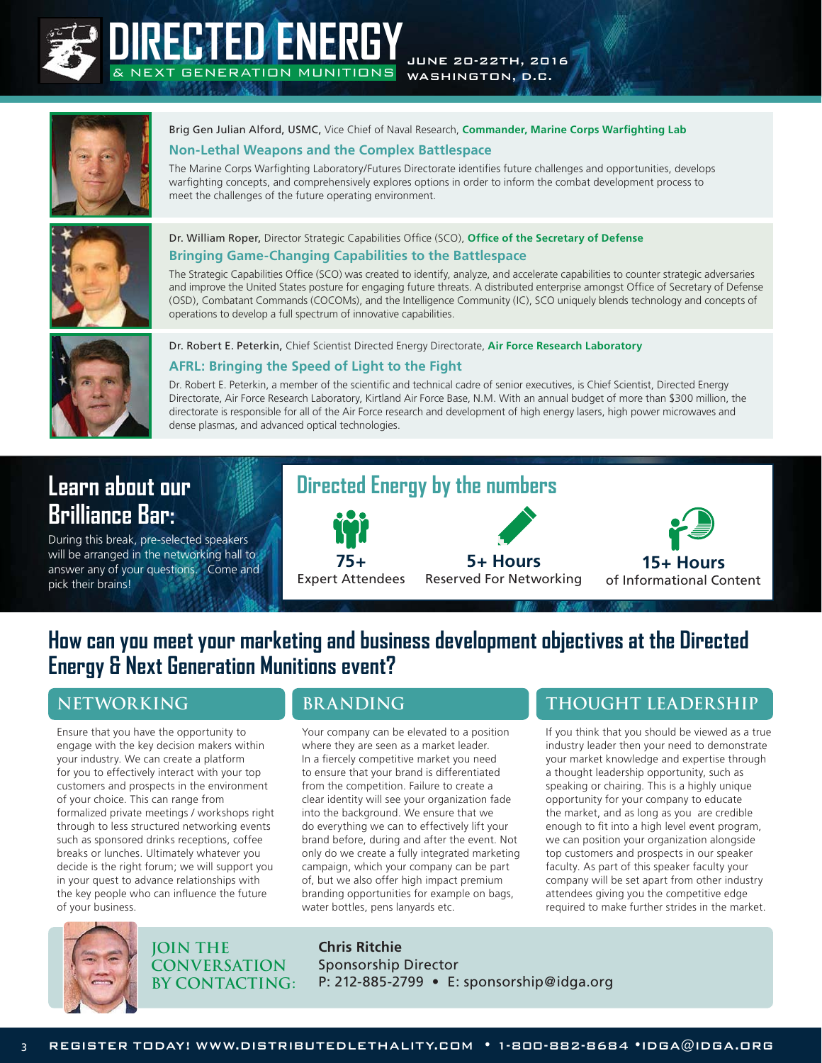

# **DIRECTED ENERGY** MUNITIONS

JUNE 20-22TH, 2016 WASHINGTON, D.C.



Brig Gen Julian Alford, USMC, Vice Chief of Naval Research, **Commander, Marine Corps Warfighting Lab**

#### **Non-Lethal Weapons and the Complex Battlespace**

The Marine Corps Warfighting Laboratory/Futures Directorate identifies future challenges and opportunities, develops warfighting concepts, and comprehensively explores options in order to inform the combat development process to meet the challenges of the future operating environment.



#### Dr. William Roper, Director Strategic Capabilities Office (SCO), **Office of the Secretary of Defense Bringing Game-Changing Capabilities to the Battlespace**

The Strategic Capabilities Office (SCO) was created to identify, analyze, and accelerate capabilities to counter strategic adversaries and improve the United States posture for engaging future threats. A distributed enterprise amongst Office of Secretary of Defense (OSD), Combatant Commands (COCOMs), and the Intelligence Community (IC), SCO uniquely blends technology and concepts of operations to develop a full spectrum of innovative capabilities.



#### Dr. Robert E. Peterkin, Chief Scientist Directed Energy Directorate, **Air Force Research Laboratory**

#### **AFRL: Bringing the Speed of Light to the Fight**

Dr. Robert E. Peterkin, a member of the scientific and technical cadre of senior executives, is Chief Scientist, Directed Energy Directorate, Air Force Research Laboratory, Kirtland Air Force Base, N.M. With an annual budget of more than \$300 million, the directorate is responsible for all of the Air Force research and development of high energy lasers, high power microwaves and dense plasmas, and advanced optical technologies.

# **Learn about our Brilliance Bar:**

During this break, pre-selected speakers will be arranged in the networking hall to answer any of your questions. Come and pick their brains!



**5+ Hours**  Reserved For Networking



## **How can you meet your marketing and business development objectives at the Directed Energy & Next Generation Munitions event?**

Ensure that you have the opportunity to engage with the key decision makers within your industry. We can create a platform for you to effectively interact with your top customers and prospects in the environment of your choice. This can range from formalized private meetings / workshops right through to less structured networking events such as sponsored drinks receptions, coffee breaks or lunches. Ultimately whatever you decide is the right forum; we will support you in your quest to advance relationships with the key people who can influence the future of your business.

**75+**  Expert Attendees

Your company can be elevated to a position where they are seen as a market leader. In a fiercely competitive market you need to ensure that your brand is differentiated from the competition. Failure to create a clear identity will see your organization fade into the background. We ensure that we do everything we can to effectively lift your brand before, during and after the event. Not only do we create a fully integrated marketing campaign, which your company can be part of, but we also offer high impact premium branding opportunities for example on bags, water bottles, pens lanyards etc.

## **NETWORKING BRANDING THOUGHT LEADERSHIP**

If you think that you should be viewed as a true industry leader then your need to demonstrate your market knowledge and expertise through a thought leadership opportunity, such as speaking or chairing. This is a highly unique opportunity for your company to educate the market, and as long as you are credible enough to fit into a high level event program, we can position your organization alongside top customers and prospects in our speaker faculty. As part of this speaker faculty your company will be set apart from other industry attendees giving you the competitive edge required to make further strides in the market.



**JOIN THE CONVERSATION BY CONTACTING:** **Chris Ritchie** Sponsorship Director P: 212-885-2799 • E: sponsorship@idga.org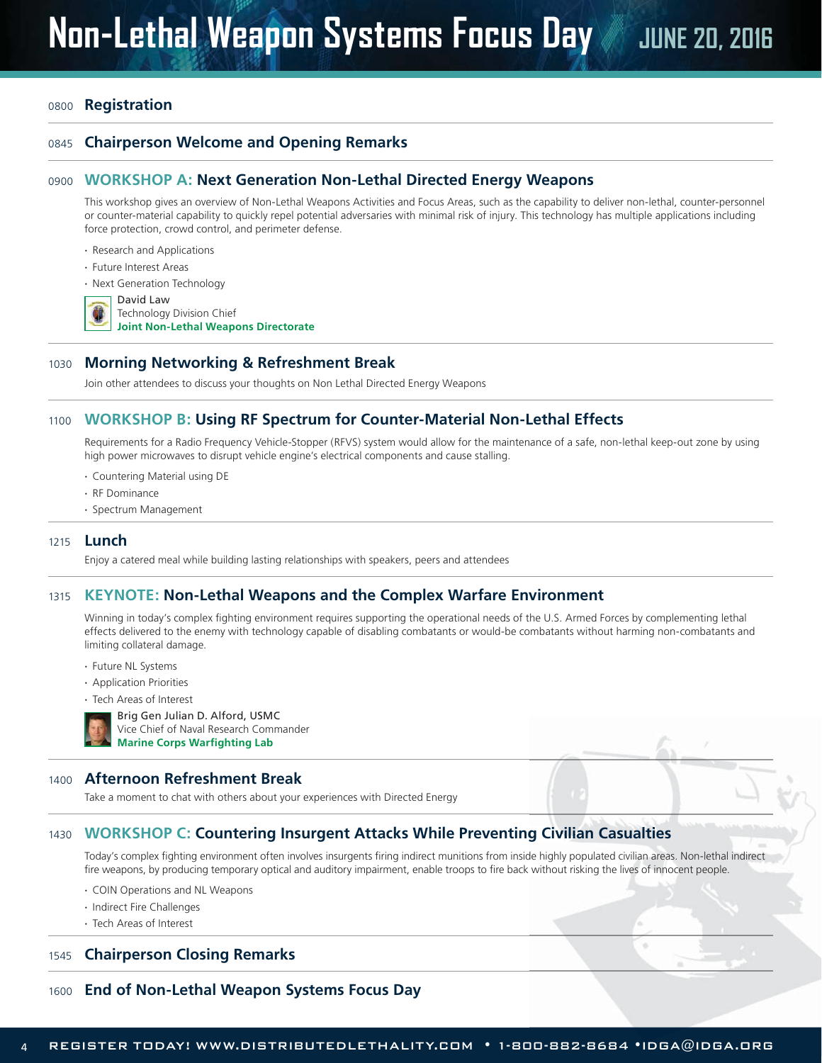#### <sup>0800</sup>**Registration**

#### <sup>0845</sup> **Chairperson Welcome and Opening Remarks**

#### <sup>0900</sup> **WORKSHOP A: Next Generation Non-Lethal Directed Energy Weapons**

This workshop gives an overview of Non-Lethal Weapons Activities and Focus Areas, such as the capability to deliver non-lethal, counter-personnel or counter-material capability to quickly repel potential adversaries with minimal risk of injury. This technology has multiple applications including force protection, crowd control, and perimeter defense.

#### **·** Research and Applications

- **·** Future Interest Areas
- **·** Next Generation Technology

David Law Technology Division Chief

**Joint Non-Lethal Weapons Directorate**

#### <sup>1030</sup> **Morning Networking & Refreshment Break**

Join other attendees to discuss your thoughts on Non Lethal Directed Energy Weapons

#### <sup>1100</sup> **WORKSHOP B: Using RF Spectrum for Counter-Material Non-Lethal Effects**

Requirements for a Radio Frequency Vehicle-Stopper (RFVS) system would allow for the maintenance of a safe, non-lethal keep-out zone by using high power microwaves to disrupt vehicle engine's electrical components and cause stalling.

- **·** Countering Material using DE
- **·** RF Dominance
- **·** Spectrum Management

#### <sup>1215</sup> **Lunch**

Enjoy a catered meal while building lasting relationships with speakers, peers and attendees

#### <sup>1315</sup>**KEYNOTE: Non-Lethal Weapons and the Complex Warfare Environment**

Winning in today's complex fighting environment requires supporting the operational needs of the U.S. Armed Forces by complementing lethal effects delivered to the enemy with technology capable of disabling combatants or would-be combatants without harming non-combatants and limiting collateral damage.

- **·** Future NL Systems
- **·** Application Priorities
- **·** Tech Areas of Interest



Brig Gen Julian D. Alford, USMC Vice Chief of Naval Research Commander **Marine Corps Warfighting Lab**

#### <sup>1400</sup> **Afternoon Refreshment Break**

Take a moment to chat with others about your experiences with Directed Energy

#### <sup>1430</sup> **WORKSHOP C: Countering Insurgent Attacks While Preventing Civilian Casualties**

Today's complex fighting environment often involves insurgents firing indirect munitions from inside highly populated civilian areas. Non-lethal indirect de fire weapons, by producing temporary optical and auditory impairment, enable troops to fire back without risking the lives of innocent people. 00-882-8684 **g Casualties**

- **·** COIN Operations and NL Weapons
- **·** Indirect Fire Challenges
- **·** Tech Areas of Interest

#### <sup>1545</sup>**Chairperson Closing Remarks**

#### <sup>1600</sup> **End of Non-Lethal Weapon Systems Focus Day**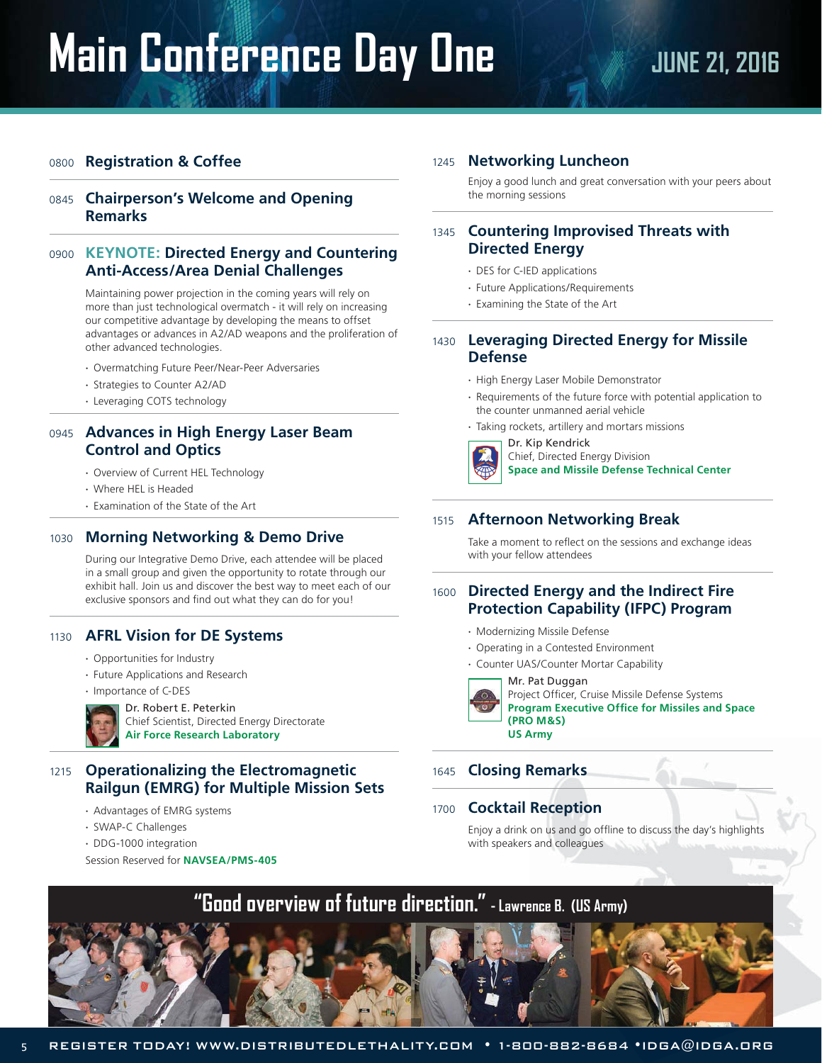# **Main Conference Day One We all your 21, 2016**

#### <sup>0800</sup> **Registration & Coffee**

#### <sup>0845</sup> **Chairperson's Welcome and Opening Remarks**

#### <sup>0900</sup> **KEYNOTE: Directed Energy and Countering Anti-Access/Area Denial Challenges**

 Maintaining power projection in the coming years will rely on more than just technological overmatch - it will rely on increasing our competitive advantage by developing the means to offset advantages or advances in A2/AD weapons and the proliferation of other advanced technologies.

- **·** Overmatching Future Peer/Near-Peer Adversaries
- **·** Strategies to Counter A2/AD
- **·** Leveraging COTS technology

#### <sup>0945</sup> **Advances in High Energy Laser Beam Control and Optics**

- **·** Overview of Current HEL Technology
- **·** Where HEL is Headed
- **·** Examination of the State of the Art

#### <sup>1030</sup> **Morning Networking & Demo Drive**

 During our Integrative Demo Drive, each attendee will be placed in a small group and given the opportunity to rotate through our exhibit hall. Join us and discover the best way to meet each of our exclusive sponsors and find out what they can do for you!

#### <sup>1130</sup> **AFRL Vision for DE Systems**

- **·** Opportunities for Industry
- **·** Future Applications and Research
- **·** Importance of C-DES



Chief Scientist, Directed Energy Directorate

**Air Force Research Laboratory**

#### <sup>1215</sup> **Operationalizing the Electromagnetic Railgun (EMRG) for Multiple Mission Sets**

- **·** Advantages of EMRG systems
- **·** SWAP-C Challenges
- **·** DDG-1000 integration

Session Reserved for **NAVSEA/PMS-405**

#### <sup>1245</sup> **Networking Luncheon**

 Enjoy a good lunch and great conversation with your peers about the morning sessions

#### <sup>1345</sup> **Countering Improvised Threats with Directed Energy**

- **·** DES for C-IED applications
- **·** Future Applications/Requirements
- **·** Examining the State of the Art

#### <sup>1430</sup> **Leveraging Directed Energy for Missile Defense**

- **·** High Energy Laser Mobile Demonstrator
- **·** Requirements of the future force with potential application to the counter unmanned aerial vehicle
- **·** Taking rockets, artillery and mortars missions



Dr. Kip Kendrick Chief, Directed Energy Division **Space and Missile Defense Technical Center** 

#### <sup>1515</sup> **Afternoon Networking Break**

 Take a moment to reflect on the sessions and exchange ideas with your fellow attendees

#### <sup>1600</sup> **Directed Energy and the Indirect Fire Protection Capability (IFPC) Program**

- **·** Modernizing Missile Defense
- **·** Operating in a Contested Environment
- **·** Counter UAS/Counter Mortar Capability

#### Mr. Pat Duggan

Project Officer, Cruise Missile Defense Systems **Program Executive Office for Missiles and Space (PRO M&S) US Army**

#### <sup>1645</sup> **Closing Remarks**

<sup>1700</sup>**Cocktail Reception**

 Enjoy a drink on us and go offline to discuss the day's highlights with speakers and colleagues

# **"Good overview of future direction." - Lawrence B. (US Army)**



Dr. Robert E. Peterkin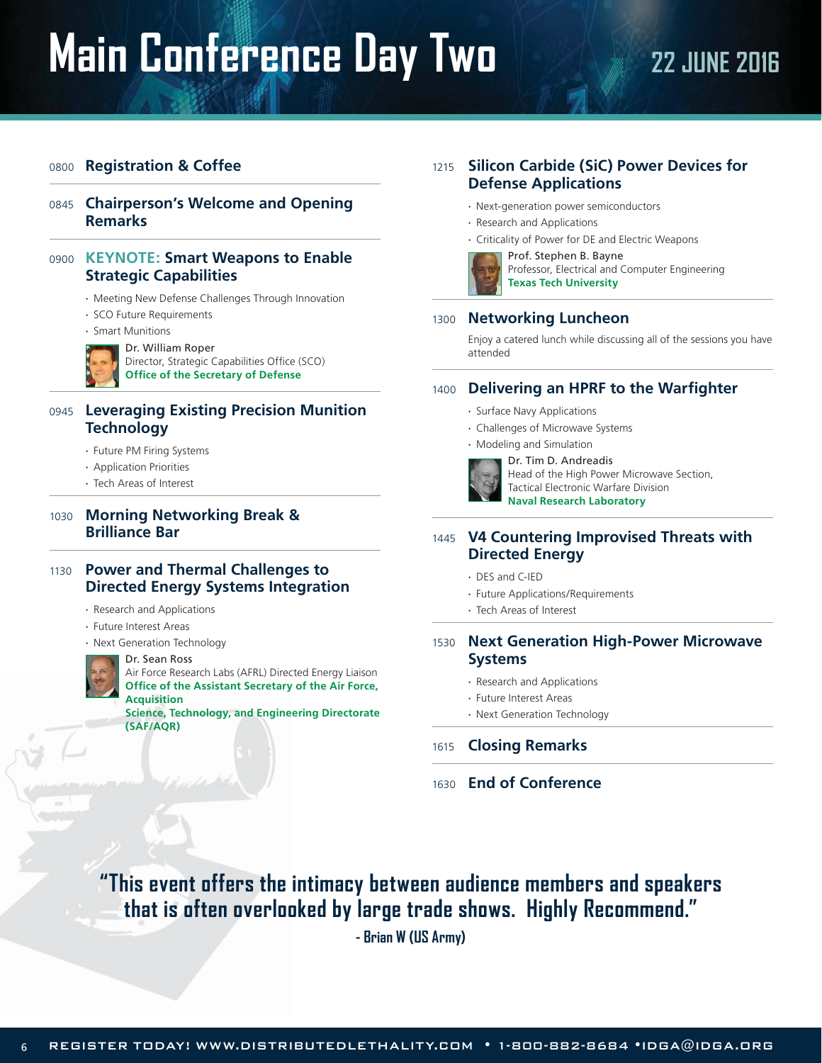# **Main Conference Day Two 22 JUNE 2016**

#### <sup>0800</sup> **Registration & Coffee**

#### <sup>0845</sup> **Chairperson's Welcome and Opening Remarks**

#### <sup>0900</sup>**KEYNOTE: Smart Weapons to Enable Strategic Capabilities**

- **·** Meeting New Defense Challenges Through Innovation
- **·** SCO Future Requirements
- **·** Smart Munitions

#### Dr. William Roper



## Director, Strategic Capabilities Office (SCO)

**Office of the Secretary of Defense**

#### <sup>0945</sup> **Leveraging Existing Precision Munition Technology**

- **·** Future PM Firing Systems
- **·** Application Priorities
- **·** Tech Areas of Interest

#### <sup>1030</sup> **Morning Networking Break & Brilliance Bar**

#### <sup>1130</sup> **Power and Thermal Challenges to Directed Energy Systems Integration**

- **·** Research and Applications
- **·** Future Interest Areas
- **·** Next Generation Technology



#### Dr. Sean Ross

Air Force Research Labs (AFRL) Directed Energy Liaison **Office of the Assistant Secretary of the Air Force, Acquisition Science, Technology, and Engineering Directorate** 

**(SAF/AQR)**

### <sup>1215</sup> **Silicon Carbide (SiC) Power Devices for Defense Applications**

- **·** Next-generation power semiconductors
- **·** Research and Applications
- **·** Criticality of Power for DE and Electric Weapons
- Prof. Stephen B. Bayne Professor, Electrical and Computer Engineering

**Texas Tech University** 

#### <sup>1300</sup> **Networking Luncheon**

 Enjoy a catered lunch while discussing all of the sessions you have attended

#### <sup>1400</sup> **Delivering an HPRF to the Warfighter**

- **·** Surface Navy Applications
- **·** Challenges of Microwave Systems

**·** Modeling and Simulation



Dr. Tim D. Andreadis Head of the High Power Microwave Section, Tactical Electronic Warfare Division **Naval Research Laboratory**

#### <sup>1445</sup> **V4 Countering Improvised Threats with Directed Energy**

- **·** DES and C-IED
- **·** Future Applications/Requirements
- **·** Tech Areas of Interest

#### <sup>1530</sup> **Next Generation High-Power Microwave Systems**

- **·** Research and Applications
- **·** Future Interest Areas
- **·** Next Generation Technology

#### <sup>1615</sup> **Closing Remarks**

<sup>1630</sup>**End of Conference**

## **"This event offers the intimacy between audience members and speakers that is often overlooked by large trade shows. Highly Recommend."**

**- Brian W (US Army)**